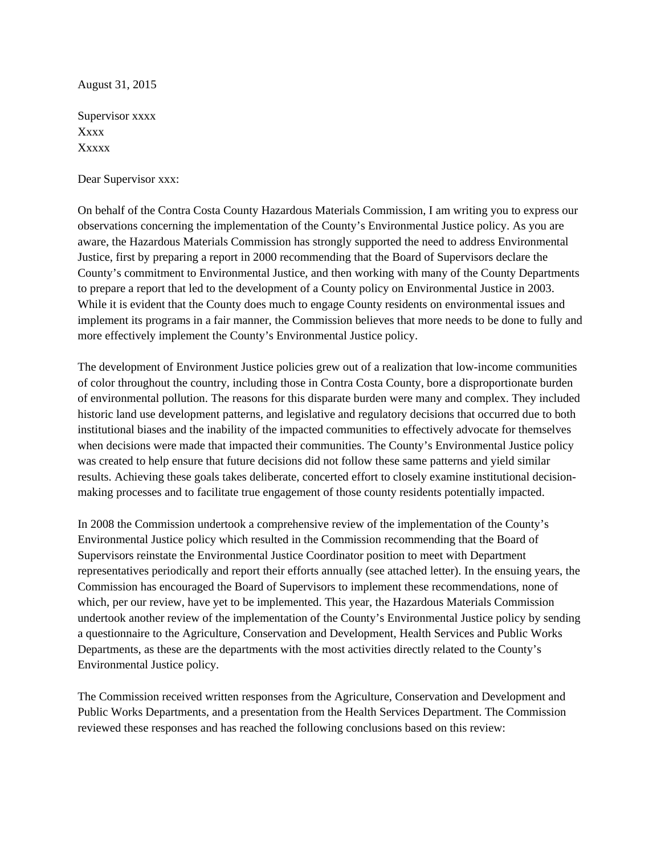August 31, 2015

Supervisor xxxx Xxxx Xxxxx

Dear Supervisor xxx:

On behalf of the Contra Costa County Hazardous Materials Commission, I am writing you to express our observations concerning the implementation of the County's Environmental Justice policy. As you are aware, the Hazardous Materials Commission has strongly supported the need to address Environmental Justice, first by preparing a report in 2000 recommending that the Board of Supervisors declare the County's commitment to Environmental Justice, and then working with many of the County Departments to prepare a report that led to the development of a County policy on Environmental Justice in 2003. While it is evident that the County does much to engage County residents on environmental issues and implement its programs in a fair manner, the Commission believes that more needs to be done to fully and more effectively implement the County's Environmental Justice policy.

The development of Environment Justice policies grew out of a realization that low-income communities of color throughout the country, including those in Contra Costa County, bore a disproportionate burden of environmental pollution. The reasons for this disparate burden were many and complex. They included historic land use development patterns, and legislative and regulatory decisions that occurred due to both institutional biases and the inability of the impacted communities to effectively advocate for themselves when decisions were made that impacted their communities. The County's Environmental Justice policy was created to help ensure that future decisions did not follow these same patterns and yield similar results. Achieving these goals takes deliberate, concerted effort to closely examine institutional decisionmaking processes and to facilitate true engagement of those county residents potentially impacted.

In 2008 the Commission undertook a comprehensive review of the implementation of the County's Environmental Justice policy which resulted in the Commission recommending that the Board of Supervisors reinstate the Environmental Justice Coordinator position to meet with Department representatives periodically and report their efforts annually (see attached letter). In the ensuing years, the Commission has encouraged the Board of Supervisors to implement these recommendations, none of which, per our review, have yet to be implemented. This year, the Hazardous Materials Commission undertook another review of the implementation of the County's Environmental Justice policy by sending a questionnaire to the Agriculture, Conservation and Development, Health Services and Public Works Departments, as these are the departments with the most activities directly related to the County's Environmental Justice policy.

The Commission received written responses from the Agriculture, Conservation and Development and Public Works Departments, and a presentation from the Health Services Department. The Commission reviewed these responses and has reached the following conclusions based on this review: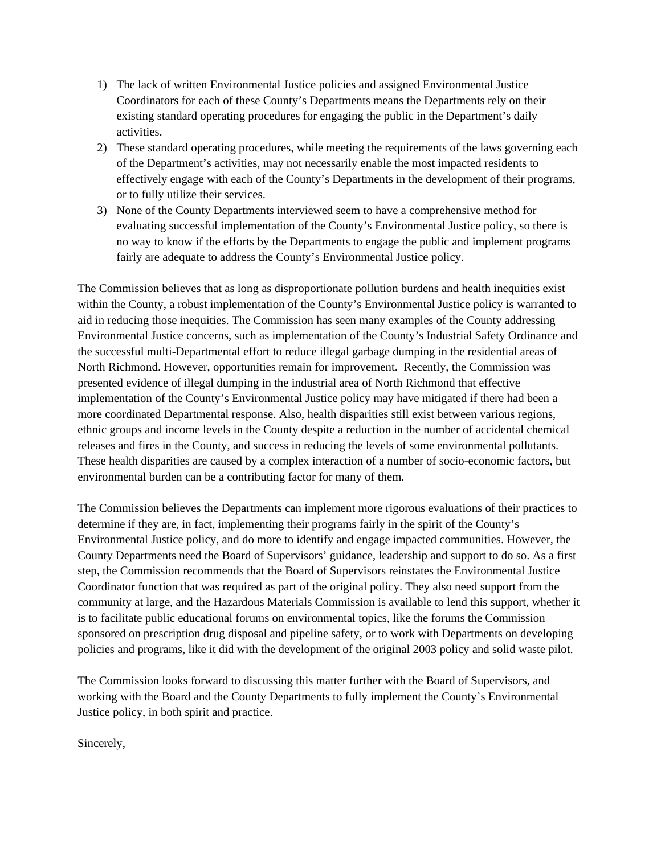- 1) The lack of written Environmental Justice policies and assigned Environmental Justice Coordinators for each of these County's Departments means the Departments rely on their existing standard operating procedures for engaging the public in the Department's daily activities.
- 2) These standard operating procedures, while meeting the requirements of the laws governing each of the Department's activities, may not necessarily enable the most impacted residents to effectively engage with each of the County's Departments in the development of their programs, or to fully utilize their services.
- 3) None of the County Departments interviewed seem to have a comprehensive method for evaluating successful implementation of the County's Environmental Justice policy, so there is no way to know if the efforts by the Departments to engage the public and implement programs fairly are adequate to address the County's Environmental Justice policy.

The Commission believes that as long as disproportionate pollution burdens and health inequities exist within the County, a robust implementation of the County's Environmental Justice policy is warranted to aid in reducing those inequities. The Commission has seen many examples of the County addressing Environmental Justice concerns, such as implementation of the County's Industrial Safety Ordinance and the successful multi-Departmental effort to reduce illegal garbage dumping in the residential areas of North Richmond. However, opportunities remain for improvement. Recently, the Commission was presented evidence of illegal dumping in the industrial area of North Richmond that effective implementation of the County's Environmental Justice policy may have mitigated if there had been a more coordinated Departmental response. Also, health disparities still exist between various regions, ethnic groups and income levels in the County despite a reduction in the number of accidental chemical releases and fires in the County, and success in reducing the levels of some environmental pollutants. These health disparities are caused by a complex interaction of a number of socio-economic factors, but environmental burden can be a contributing factor for many of them.

The Commission believes the Departments can implement more rigorous evaluations of their practices to determine if they are, in fact, implementing their programs fairly in the spirit of the County's Environmental Justice policy, and do more to identify and engage impacted communities. However, the County Departments need the Board of Supervisors' guidance, leadership and support to do so. As a first step, the Commission recommends that the Board of Supervisors reinstates the Environmental Justice Coordinator function that was required as part of the original policy. They also need support from the community at large, and the Hazardous Materials Commission is available to lend this support, whether it is to facilitate public educational forums on environmental topics, like the forums the Commission sponsored on prescription drug disposal and pipeline safety, or to work with Departments on developing policies and programs, like it did with the development of the original 2003 policy and solid waste pilot.

The Commission looks forward to discussing this matter further with the Board of Supervisors, and working with the Board and the County Departments to fully implement the County's Environmental Justice policy, in both spirit and practice.

Sincerely,